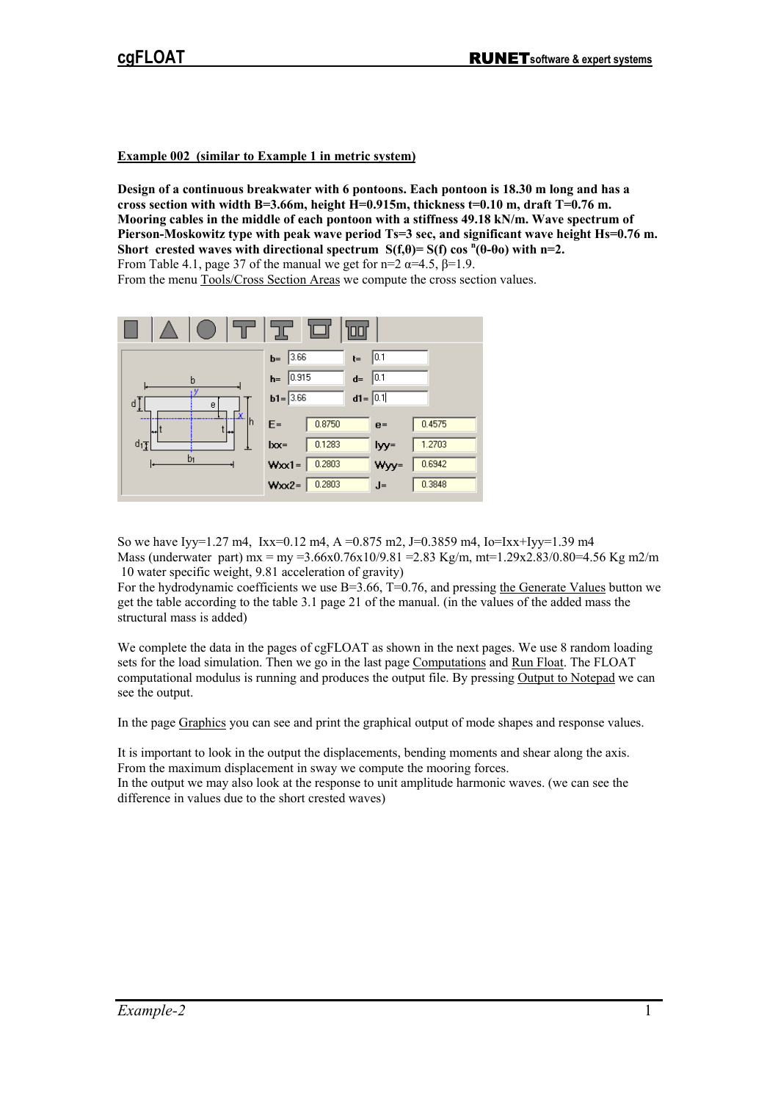**Example 002 (similar to Example 1 in metric system)** 

**Design of a continuous breakwater with 6 pontoons. Each pontoon is 18.30 m long and has a cross section with width B=3.66m, height H=0.915m, thickness t=0.10 m, draft T=0.76 m. Mooring cables in the middle of each pontoon with a stiffness 49.18 kN/m. Wave spectrum of Pierson-Moskowitz type with peak wave period Ts=3 sec, and significant wave height Hs=0.76 m. Short crested waves with directional spectrum**  $S(f,\theta) = S(f) \cos^{n}(\theta-\theta_0)$  **with n=2.** From Table 4.1, page 37 of the manual we get for n=2  $\alpha$ =4.5,  $\beta$ =1.9.

From the menu Tools/Cross Section Areas we compute the cross section values.



So we have Iyy=1.27 m4, Ixx=0.12 m4, A =0.875 m2, J=0.3859 m4, Io=Ixx+Iyy=1.39 m4 Mass (underwater part) mx = my =3.66x0.76x10/9.81 =2.83 Kg/m, mt=1.29x2.83/0.80=4.56 Kg m2/m 10 water specific weight, 9.81 acceleration of gravity)

For the hydrodynamic coefficients we use B=3.66, T=0.76, and pressing the Generate Values button we get the table according to the table 3.1 page 21 of the manual. (in the values of the added mass the structural mass is added)

We complete the data in the pages of cgFLOAT as shown in the next pages. We use 8 random loading sets for the load simulation. Then we go in the last page Computations and Run Float. The FLOAT computational modulus is running and produces the output file. By pressing Output to Notepad we can see the output.

In the page Graphics you can see and print the graphical output of mode shapes and response values.

It is important to look in the output the displacements, bending moments and shear along the axis. From the maximum displacement in sway we compute the mooring forces.

In the output we may also look at the response to unit amplitude harmonic waves. (we can see the difference in values due to the short crested waves)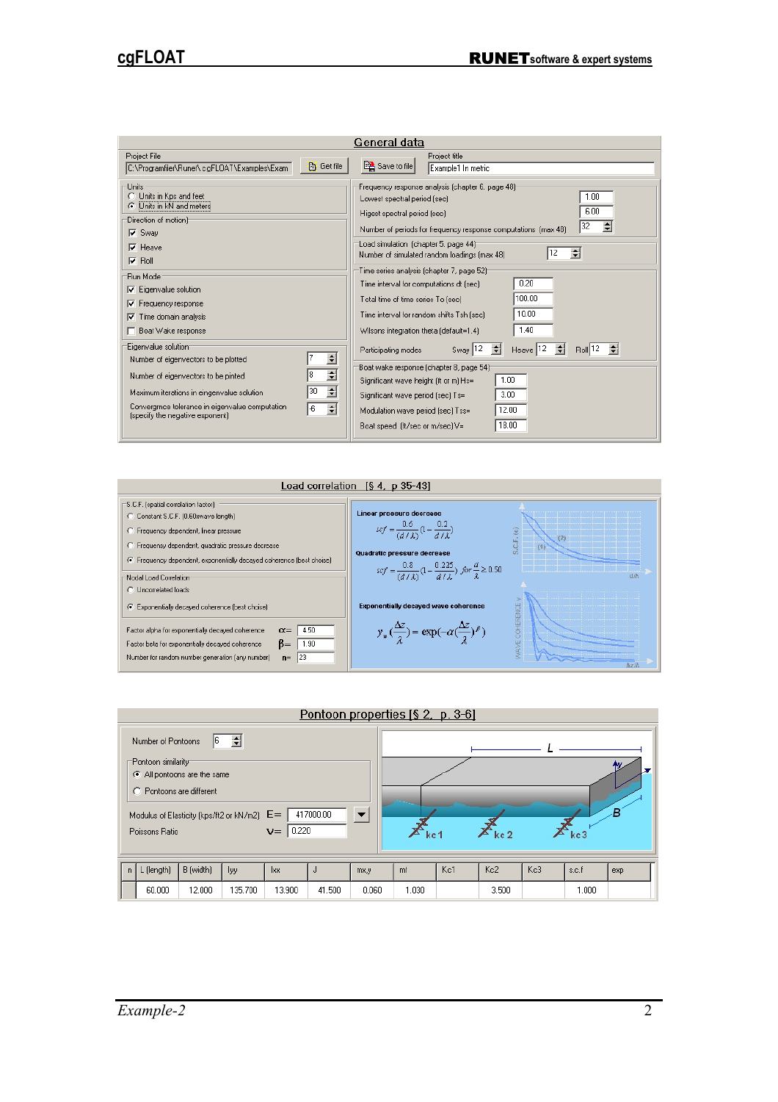| General data                                                                                                                                                                                                                                                                                                                                                                                                                                                                                                                            |                                                                                                                                                                                                                                                                                                                                                                                                                                                                                                                                                                                                                                                                                                                                                                                                                                                                                             |  |  |  |  |  |
|-----------------------------------------------------------------------------------------------------------------------------------------------------------------------------------------------------------------------------------------------------------------------------------------------------------------------------------------------------------------------------------------------------------------------------------------------------------------------------------------------------------------------------------------|---------------------------------------------------------------------------------------------------------------------------------------------------------------------------------------------------------------------------------------------------------------------------------------------------------------------------------------------------------------------------------------------------------------------------------------------------------------------------------------------------------------------------------------------------------------------------------------------------------------------------------------------------------------------------------------------------------------------------------------------------------------------------------------------------------------------------------------------------------------------------------------------|--|--|--|--|--|
| Project File<br><b>高</b> Get file<br>C:\Programfiler\Runet\cgFLOAT\Examples\Exam                                                                                                                                                                                                                                                                                                                                                                                                                                                        | Project title<br>Save to file<br>Example1 In metric                                                                                                                                                                                                                                                                                                                                                                                                                                                                                                                                                                                                                                                                                                                                                                                                                                         |  |  |  |  |  |
| Units<br>O.<br>Units in Kps and feet<br>Units in kN and meters<br>Direction of motion)<br>$\nabla$ Sway<br>Heave<br>▿<br>$\nabla$ Roll<br>Run Mode<br>$\nabla$ Eigenvalue solution<br>Frequency response<br>⊽<br>Time domain analysis<br>⊽<br>Boat Wake response<br>Eigenvalue solution<br>÷<br>Number of eigenvectors to be plotted<br>$\blacktriangle$<br>l8<br>Number of eigenvectors to be pinted<br>▼<br>$\div$<br>30<br>Maximum iterations in eingenvalue solution<br>Convergince tolerance in eigenvalue computation<br>슬<br>l-6 | Frequency response analysis (chapter 6, page 48) <sup>-</sup><br>1.00<br>Lowest spectral period (sec)<br>6.00<br>Higest spectral period (sec)<br>32<br>슬<br>Number of periods for frequency response computations (max 48)<br>Load simulation (chapter 5. page 44) <sup>-</sup><br>$\div$<br>12<br>Number of simulated random loadings (max 48)<br>Time series analysis (chapter 7, page 52) <sup>-</sup><br>0.20<br>Time interval for computations dt [sec]<br>100.00<br>Total time of time series To [sec]<br>10.00<br>Time interval for random shifts Tsh [sec]<br>1.40<br>Wilsons integration theta (default=1.4)<br>÷<br>€<br>Heave 12<br>Sway 12<br>B <sub>oll</sub> 12<br>Participating modes<br>Boat wake response (chapter 8, page 54)<br>1.00<br>Significant wave height (ft or m) Hs=<br>3.00<br>Significant wave period (sec) Ts=<br>12.00<br>Modulation wave period [sec] Tss= |  |  |  |  |  |
| (specify the negative exponent)                                                                                                                                                                                                                                                                                                                                                                                                                                                                                                         | 18.00<br>Boat speed (ft/sec or m/sec) V=                                                                                                                                                                                                                                                                                                                                                                                                                                                                                                                                                                                                                                                                                                                                                                                                                                                    |  |  |  |  |  |



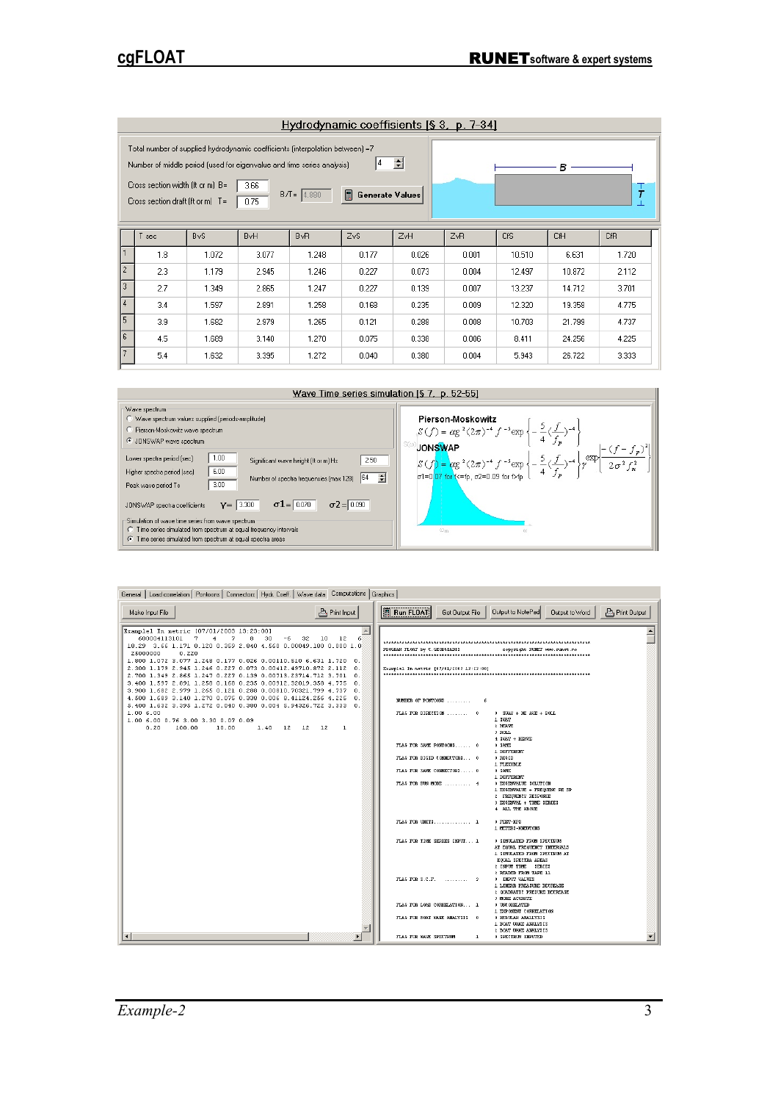| Hydrodynamic coeffisients $[\S 3, p. 7-34]$                                                                                                                                                                                                                                                                                                     |     |            |                        |                 |                  |       |       |        |            |            |
|-------------------------------------------------------------------------------------------------------------------------------------------------------------------------------------------------------------------------------------------------------------------------------------------------------------------------------------------------|-----|------------|------------------------|-----------------|------------------|-------|-------|--------|------------|------------|
| Total number of supplied hydrodynamic coefficients (interpolation between) =7<br>희<br>4<br>Number of middle period (used for eigenvalue and time series analysis)<br>в<br>Cross section width (ft or m) B=<br>3.66<br>$_{\rm \tau}$<br>$\blacksquare$<br>$B/I = 4.880$<br><b>Generate Values</b><br>Cross section draft (ft or m) $T =$<br>0.75 |     |            |                        |                 |                  |       |       |        |            |            |
|                                                                                                                                                                                                                                                                                                                                                 | sec | <b>ByS</b> | <b>B</b> <sub>vH</sub> | B <sub>vR</sub> | Z <sub>v</sub> S | ZvH   | ZvR   | CfS    | <b>CfH</b> | <b>CfR</b> |
| 11                                                                                                                                                                                                                                                                                                                                              | 1.8 | 1.072      | 3.077                  | 1.248           | 0.177            | 0.026 | 0.001 | 10.510 | 6.631      | 1.720      |
| 12                                                                                                                                                                                                                                                                                                                                              | 2.3 | 1.179      | 2.945                  | 1.246           | 0.227            | 0.073 | 0.004 | 12.497 | 10.872     | 2.112      |
| $\sqrt{3}$                                                                                                                                                                                                                                                                                                                                      | 2.7 | 1.349      | 2.865                  | 1.247           | 0.227            | 0.139 | 0.007 | 13.237 | 14.712     | 3.701      |
| 4                                                                                                                                                                                                                                                                                                                                               | 3.4 | 1.597      | 2.891                  | 1.258           | 0.168            | 0.235 | 0.009 | 12.320 | 19.358     | 4.775      |
| 15.                                                                                                                                                                                                                                                                                                                                             | 3.9 | 1.682      | 2.979                  | 1.265           | 0.121            | 0.288 | 0.008 | 10.703 | 21.799     | 4.737      |
| 6                                                                                                                                                                                                                                                                                                                                               | 4.5 | 1.689      | 3.140                  | 1.270           | 0.075            | 0.338 | 0.006 | 8.411  | 24.256     | 4.225      |
| 17.                                                                                                                                                                                                                                                                                                                                             | 5.4 | 1.632      | 3.395                  | 1.272           | 0.040            | 0.380 | 0.004 | 5.943  | 26.722     | 3.333      |



| General   Load correlation   Pontoons   Connectors   Hydr. Coeff.   Wave data   Computations   Graphics                                                                                                                                                                                                                                                                                                                                                                                                                                                                                                                                                                                                                                                                                                                     |                                                                                                                                                                                                                                                                                                                                                                                                                                                                                                                                                                                                                                                                                                                                                                                                                                                                                                                                                                                                                                                                                             |  |  |  |  |  |
|-----------------------------------------------------------------------------------------------------------------------------------------------------------------------------------------------------------------------------------------------------------------------------------------------------------------------------------------------------------------------------------------------------------------------------------------------------------------------------------------------------------------------------------------------------------------------------------------------------------------------------------------------------------------------------------------------------------------------------------------------------------------------------------------------------------------------------|---------------------------------------------------------------------------------------------------------------------------------------------------------------------------------------------------------------------------------------------------------------------------------------------------------------------------------------------------------------------------------------------------------------------------------------------------------------------------------------------------------------------------------------------------------------------------------------------------------------------------------------------------------------------------------------------------------------------------------------------------------------------------------------------------------------------------------------------------------------------------------------------------------------------------------------------------------------------------------------------------------------------------------------------------------------------------------------------|--|--|--|--|--|
| <b>A</b> Print Input<br>Make Input File                                                                                                                                                                                                                                                                                                                                                                                                                                                                                                                                                                                                                                                                                                                                                                                     | <b>Run FLOAT</b><br>Output to NotePad<br><b>A</b> Print Output<br>Get Output File<br>Output to Word                                                                                                                                                                                                                                                                                                                                                                                                                                                                                                                                                                                                                                                                                                                                                                                                                                                                                                                                                                                         |  |  |  |  |  |
| $\triangle$<br>Examplel In metric [07/01/2003 13:23:00]<br>6<br>600004113101<br>7<br>4<br>7<br>8<br>30<br>$-6$<br>32<br>10<br>12<br>18.29 3.66 1.171 0.120 0.359 2.840 4.560 0.00049.180 0.000 1.0<br>25000000<br>0.220<br>1.800 1.072 3.077 1.248 0.177 0.026 0.00110.510 6.631 1.720 0.<br>2.300 1.179 2.945 1.246 0.227 0.073 0.00412.49710.872 2.112 0.<br>2.700 1.349 2.865 1.247 0.227 0.139 0.00713.23714.712 3.701 0.<br>3.400 1.597 2.891 1.258 0.168 0.235 0.00912.32019.358 4.775 0.<br>3.900 1.682 2.979 1.265 0.121 0.288 0.00810.70321.799 4.737<br>$\Omega$ .<br>4.500 1.689 3.140 1.270 0.075 0.338 0.006 8.41124.256 4.225 0.<br>5.400 1.632 3.395 1.272 0.040 0.380 0.004 5.94326.722 3.333 0.<br>1.006.00<br>1.00 6.00 0.76 3.00 3.30 0.07 0.09<br>0.20<br>10.00<br>$1.40$ $12$ $12$ $12$<br>100.00<br>1 | PROGRAM FLOAT by C. GEORGIADIS<br>copyright EUNET case runet no<br>Examplel In metric [07/01/2003 13:23:00]<br>FLAG FOR DIRECTION  0<br>$0$ SMAY + HE AVE + ROLL<br>1 568.7<br>2 HEAVE<br>3 ROLL<br>4 SHAY + HEAVE<br>FLAG FOR SAME PONTOONS 0<br>0 SAME<br>1 DIFFERENT<br>FLAG FOR RIGID CONNECTORS 0<br>0 RIGID<br>1 FLEXIBLE<br>FLAG FOR SAME CONNECTORS 0<br>0 SAME<br>1 DIFFERENT<br>FLAG FOR RUN MODE  4<br>0 EIGENVALUE SOLUTION<br>1 EIGENVALUE + FREQUENC RE SP<br>2 FREQUENCY RESPONSE<br>3 EIGENVAL + TIME SERIES<br>4 ALL THE ABOVE<br>FLAG FOR UNITS 1<br>0 FEET-KPS<br>1 METERS-KNEWTONS<br>FLAG FOR THE SERIES INPUT 1<br>0 SIGULATED FROM SPECTRUM<br>AT EQUAL FREQUENCY INTERVALS<br>1 SINULATED FROM SPECTRUM AT<br>EQUAL SPECTRA AREAS<br>2 INPUT TIME SERIES<br>3 READED FROM TAPE 11<br>FLAG FOR S.C.F.  3<br>0 INPUT VALUES<br>1 LINEAR PREASURE DECREASE<br>2 OUADRATIC PRESURE DECREASE<br>3 MORE ACURATE<br>FLAG FOR LOAD CORRELATION 1<br>0 UNCORELATED<br>1 EXPONENT CORRELATION<br>FLAG FOR BOAT WANE ANALYSIS 0<br>0 REGULAR ANALLYSIS<br>1 BOAT WANE ANALYSIS |  |  |  |  |  |
| $\blacktriangleleft$<br>$\blacktriangleright$                                                                                                                                                                                                                                                                                                                                                                                                                                                                                                                                                                                                                                                                                                                                                                               | 2 BOAT WAKE ANALYSIS<br>FLAG FOR GAVE SPECTRUM<br>0 SPECTRUM INPUTED<br>ı                                                                                                                                                                                                                                                                                                                                                                                                                                                                                                                                                                                                                                                                                                                                                                                                                                                                                                                                                                                                                   |  |  |  |  |  |